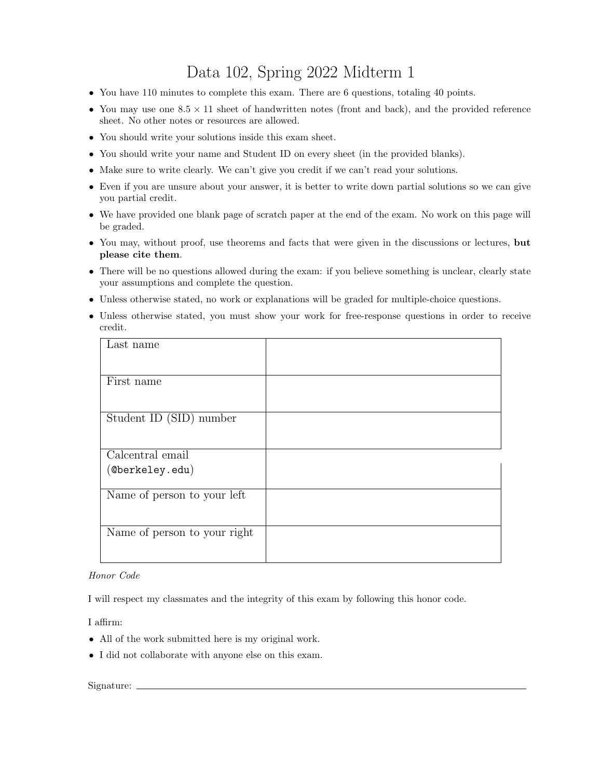## Data 102, Spring 2022 Midterm 1

- You have 110 minutes to complete this exam. There are 6 questions, totaling 40 points.
- You may use one  $8.5 \times 11$  sheet of handwritten notes (front and back), and the provided reference sheet. No other notes or resources are allowed.
- You should write your solutions inside this exam sheet.
- You should write your name and Student ID on every sheet (in the provided blanks).
- Make sure to write clearly. We can't give you credit if we can't read your solutions.
- Even if you are unsure about your answer, it is better to write down partial solutions so we can give you partial credit.
- We have provided one blank page of scratch paper at the end of the exam. No work on this page will be graded.
- You may, without proof, use theorems and facts that were given in the discussions or lectures, but please cite them.
- There will be no questions allowed during the exam: if you believe something is unclear, clearly state your assumptions and complete the question.
- Unless otherwise stated, no work or explanations will be graded for multiple-choice questions.
- Unless otherwise stated, you must show your work for free-response questions in order to receive credit.

## Honor Code

I will respect my classmates and the integrity of this exam by following this honor code.

I affirm:

- All of the work submitted here is my original work.
- I did not collaborate with anyone else on this exam.

## Signature: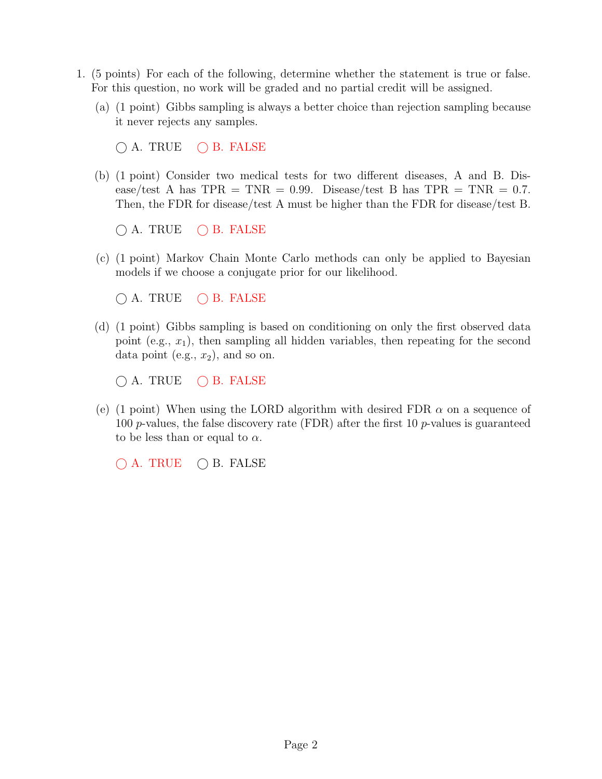- 1. (5 points) For each of the following, determine whether the statement is true or false. For this question, no work will be graded and no partial credit will be assigned.
	- (a) (1 point) Gibbs sampling is always a better choice than rejection sampling because it never rejects any samples.

 $\bigcirc$  A. TRUE  $\bigcirc$  B. FALSE

(b) (1 point) Consider two medical tests for two different diseases, A and B. Disease/test A has  $TPR = TNR = 0.99$ . Disease/test B has  $TPR = TNR = 0.7$ . Then, the FDR for disease/test A must be higher than the FDR for disease/test B.

 $\bigcirc$  A. TRUE  $\bigcirc$  B. FALSE

(c) (1 point) Markov Chain Monte Carlo methods can only be applied to Bayesian models if we choose a conjugate prior for our likelihood.

 $\bigcap$  A. TRUE  $\bigcap$  B. FALSE

(d) (1 point) Gibbs sampling is based on conditioning on only the first observed data point (e.g.,  $x_1$ ), then sampling all hidden variables, then repeating for the second data point (e.g.,  $x_2$ ), and so on.

 $\bigcap$  A. TRUE  $\bigcap$  B. FALSE

(e) (1 point) When using the LORD algorithm with desired FDR  $\alpha$  on a sequence of 100 p-values, the false discovery rate (FDR) after the first 10 p-values is guaranteed to be less than or equal to  $\alpha$ .

 $\bigcap$  A. TRUE  $\bigcap$  B. FALSE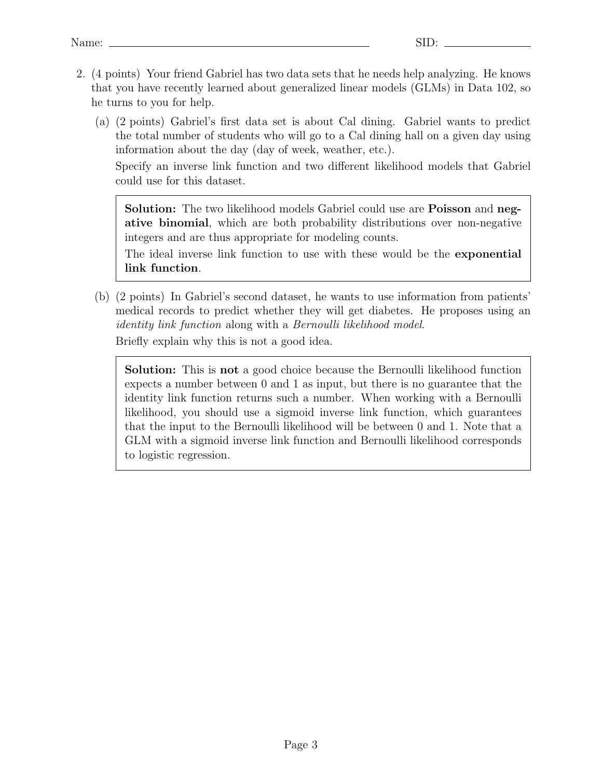- 2. (4 points) Your friend Gabriel has two data sets that he needs help analyzing. He knows that you have recently learned about generalized linear models (GLMs) in Data 102, so he turns to you for help.
	- (a) (2 points) Gabriel's first data set is about Cal dining. Gabriel wants to predict the total number of students who will go to a Cal dining hall on a given day using information about the day (day of week, weather, etc.).

Specify an inverse link function and two different likelihood models that Gabriel could use for this dataset.

Solution: The two likelihood models Gabriel could use are Poisson and negative binomial, which are both probability distributions over non-negative integers and are thus appropriate for modeling counts.

The ideal inverse link function to use with these would be the exponential link function.

(b) (2 points) In Gabriel's second dataset, he wants to use information from patients' medical records to predict whether they will get diabetes. He proposes using an identity link function along with a Bernoulli likelihood model. Briefly explain why this is not a good idea.

Solution: This is not a good choice because the Bernoulli likelihood function expects a number between 0 and 1 as input, but there is no guarantee that the identity link function returns such a number. When working with a Bernoulli likelihood, you should use a sigmoid inverse link function, which guarantees that the input to the Bernoulli likelihood will be between 0 and 1. Note that a GLM with a sigmoid inverse link function and Bernoulli likelihood corresponds to logistic regression.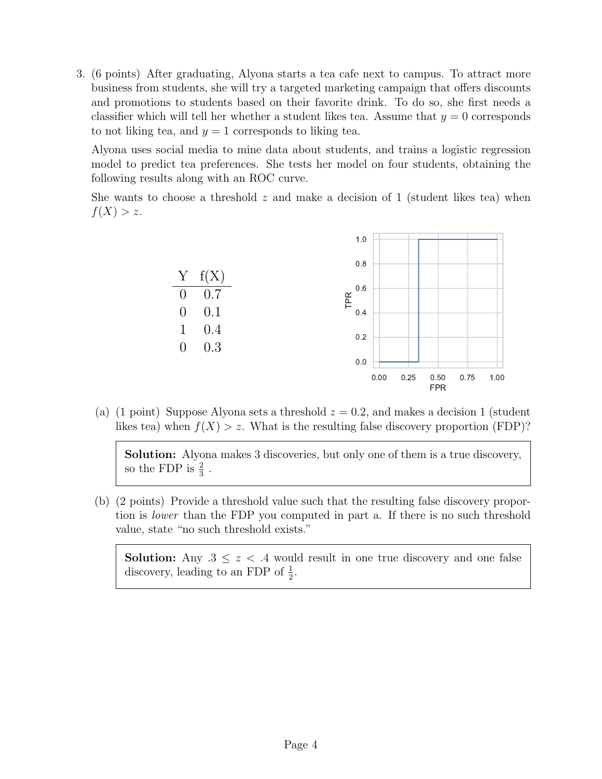3. (6 points) After graduating, Alyona starts a tea cafe next to campus. To attract more business from students, she will try a targeted marketing campaign that offers discounts and promotions to students based on their favorite drink. To do so, she first needs a classifier which will tell her whether a student likes tea. Assume that  $y = 0$  corresponds to not liking tea, and  $y = 1$  corresponds to liking tea.

Alyona uses social media to mine data about students, and trains a logistic regression model to predict tea preferences. She tests her model on four students, obtaining the following results along with an ROC curve.

She wants to choose a threshold  $z$  and make a decision of 1 (student likes tea) when  $f(X) > z$ .



(a) (1 point) Suppose Alyona sets a threshold  $z = 0.2$ , and makes a decision 1 (student likes tea) when  $f(X) > z$ . What is the resulting false discovery proportion (FDP)?

Solution: Alyona makes 3 discoveries, but only one of them is a true discovery, so the FDP is  $\frac{2}{3}$ .

(b) (2 points) Provide a threshold value such that the resulting false discovery proportion is lower than the FDP you computed in part a. If there is no such threshold value, state "no such threshold exists."

**Solution:** Any  $.3 \leq z < .4$  would result in one true discovery and one false discovery, leading to an FDP of  $\frac{1}{2}$ .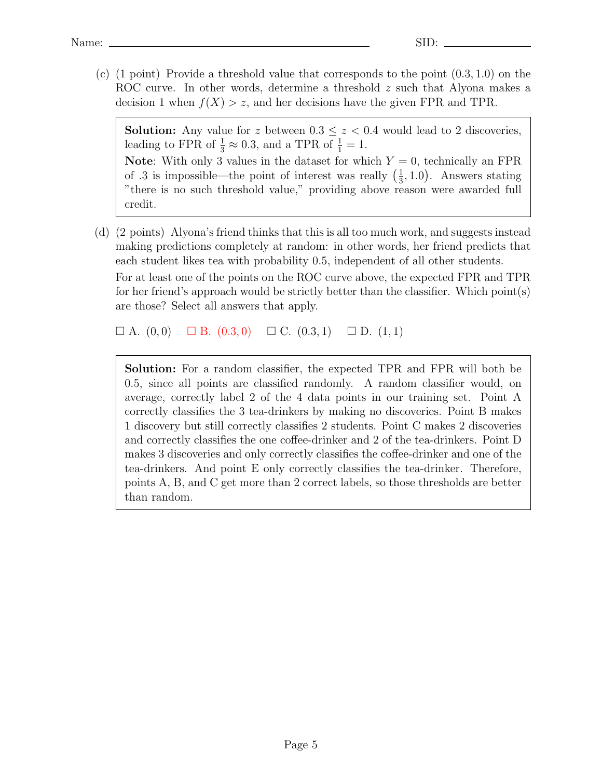$(c)$  (1 point) Provide a threshold value that corresponds to the point  $(0.3, 1.0)$  on the ROC curve. In other words, determine a threshold z such that Alyona makes a decision 1 when  $f(X) > z$ , and her decisions have the given FPR and TPR.

**Solution:** Any value for z between  $0.3 \leq z < 0.4$  would lead to 2 discoveries, leading to FPR of  $\frac{1}{3} \approx 0.3$ , and a TPR of  $\frac{1}{1} = 1$ . **Note:** With only 3 values in the dataset for which  $Y = 0$ , technically an FPR of .3 is impossible—the point of interest was really  $\left(\frac{1}{3}\right)$  $(\frac{1}{3}, 1.0)$ . Answers stating "there is no such threshold value," providing above reason were awarded full credit.

(d) (2 points) Alyona's friend thinks that this is all too much work, and suggests instead making predictions completely at random: in other words, her friend predicts that each student likes tea with probability 0.5, independent of all other students. For at least one of the points on the ROC curve above, the expected FPR and TPR for her friend's approach would be strictly better than the classifier. Which point(s) are those? Select all answers that apply.

 $\Box$  A.  $(0,0)$   $\Box$  B.  $(0.3,0)$   $\Box$  C.  $(0.3,1)$   $\Box$  D.  $(1,1)$ 

Solution: For a random classifier, the expected TPR and FPR will both be 0.5, since all points are classified randomly. A random classifier would, on average, correctly label 2 of the 4 data points in our training set. Point A correctly classifies the 3 tea-drinkers by making no discoveries. Point B makes 1 discovery but still correctly classifies 2 students. Point C makes 2 discoveries and correctly classifies the one coffee-drinker and 2 of the tea-drinkers. Point D makes 3 discoveries and only correctly classifies the coffee-drinker and one of the tea-drinkers. And point E only correctly classifies the tea-drinker. Therefore, points A, B, and C get more than 2 correct labels, so those thresholds are better than random.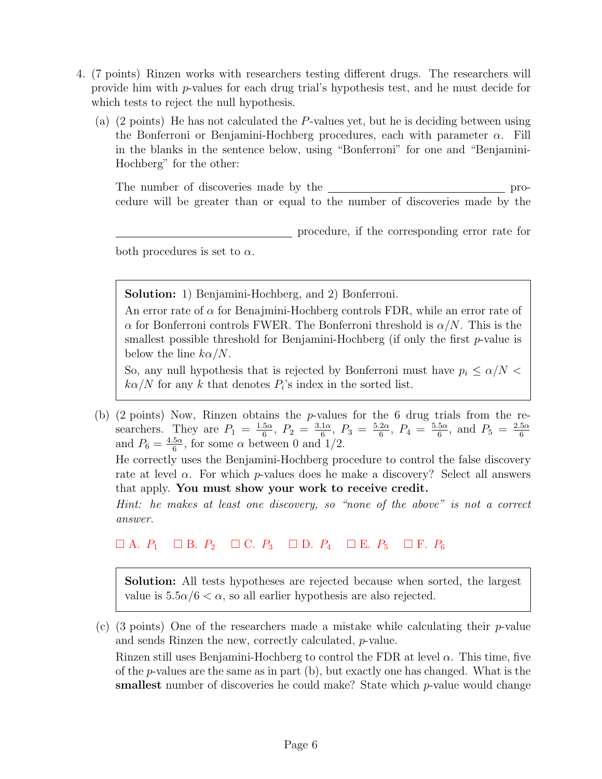- 4. (7 points) Rinzen works with researchers testing different drugs. The researchers will provide him with p-values for each drug trial's hypothesis test, and he must decide for which tests to reject the null hypothesis.
	- (a) (2 points) He has not calculated the P-values yet, but he is deciding between using the Bonferroni or Benjamini-Hochberg procedures, each with parameter  $\alpha$ . Fill in the blanks in the sentence below, using "Bonferroni" for one and "Benjamini-Hochberg" for the other:

The number of discoveries made by the **pro-** procedure will be greater than or equal to the number of discoveries made by the

procedure, if the corresponding error rate for

both procedures is set to  $\alpha$ .

Solution: 1) Benjamini-Hochberg, and 2) Bonferroni.

An error rate of  $\alpha$  for Benajmini-Hochberg controls FDR, while an error rate of  $\alpha$  for Bonferroni controls FWER. The Bonferroni threshold is  $\alpha/N$ . This is the smallest possible threshold for Benjamini-Hochberg (if only the first  $p$ -value is below the line  $k\alpha/N$ .

So, any null hypothesis that is rejected by Bonferroni must have  $p_i \leq \alpha/N$  $k\alpha/N$  for any k that denotes  $P_i$ 's index in the sorted list.

(b) (2 points) Now, Rinzen obtains the p-values for the 6 drug trials from the researchers. They are  $P_1 = \frac{1.5\alpha}{6}$  $\frac{5\alpha}{6},\ P_2 = \frac{3.1\alpha}{6}$  $\frac{1\alpha}{6}$ ,  $P_3 = \frac{5.2\alpha}{6}$  $\frac{2\alpha}{6},\ P_4 = \frac{5.5\alpha}{6}$  $\frac{5\alpha}{6}$ , and  $P_5 = \frac{2.5\alpha}{6}$ scalences. They are  $T_1 = \frac{6}{6}$ ,  $T_2 = \frac{6}{6}$ ,  $T_3 = \frac{6}{6}$ ,  $T_4 = \frac{6}{6}$ , and  $T_5 = \frac{4.5\alpha}{6}$ , for some  $\alpha$  between 0 and 1/2.  $\frac{5\alpha}{6}$ , for some  $\alpha$  between 0 and 1/2.

He correctly uses the Benjamini-Hochberg procedure to control the false discovery rate at level  $\alpha$ . For which p-values does he make a discovery? Select all answers that apply. You must show your work to receive credit.

Hint: he makes at least one discovery, so "none of the above" is not a correct answer.

 $\Box A. P_1 \quad \Box B. P_2 \quad \Box C. P_3 \quad \Box D. P_4 \quad \Box E. P_5 \quad \Box F. P_6$ 

Solution: All tests hypotheses are rejected because when sorted, the largest value is  $5.5\alpha/6 < \alpha$ , so all earlier hypothesis are also rejected.

(c) (3 points) One of the researchers made a mistake while calculating their  $p$ -value and sends Rinzen the new, correctly calculated, p-value.

Rinzen still uses Benjamini-Hochberg to control the FDR at level  $\alpha$ . This time, five of the p-values are the same as in part (b), but exactly one has changed. What is the smallest number of discoveries he could make? State which p-value would change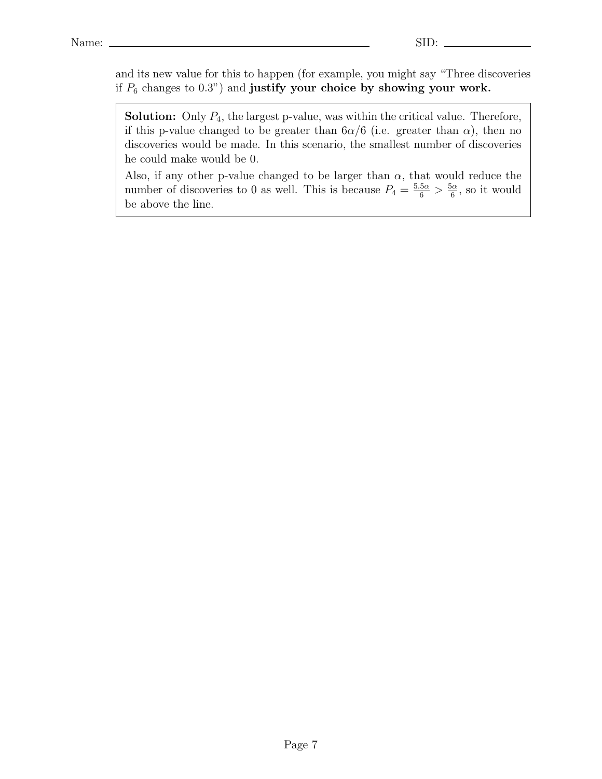and its new value for this to happen (for example, you might say "Three discoveries if  $P_6$  changes to 0.3") and justify your choice by showing your work.

**Solution:** Only  $P_4$ , the largest p-value, was within the critical value. Therefore, if this p-value changed to be greater than  $6\alpha/6$  (i.e. greater than  $\alpha$ ), then no discoveries would be made. In this scenario, the smallest number of discoveries he could make would be 0.

Also, if any other p-value changed to be larger than  $\alpha$ , that would reduce the number of discoveries to 0 as well. This is because  $P_4 = \frac{5.5\alpha}{6} > \frac{5\alpha}{6}$  $\frac{\partial \alpha}{\partial \theta}$ , so it would be above the line.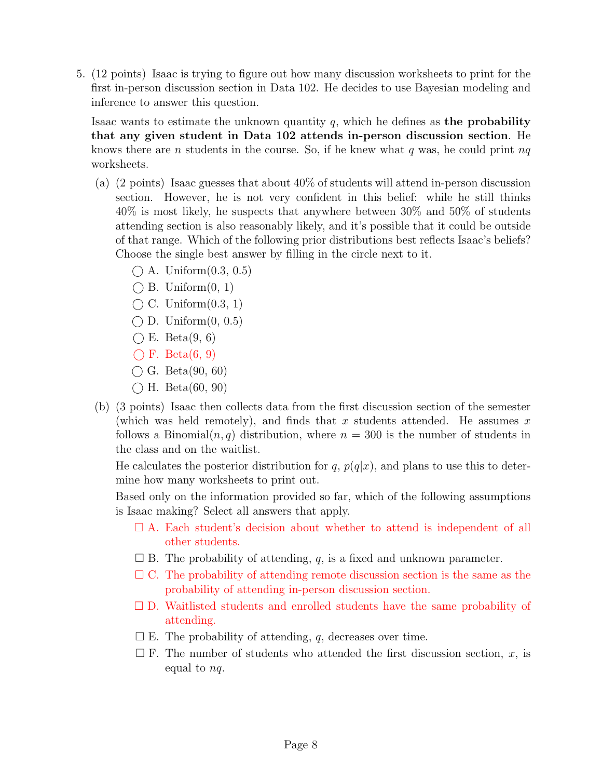5. (12 points) Isaac is trying to figure out how many discussion worksheets to print for the first in-person discussion section in Data 102. He decides to use Bayesian modeling and inference to answer this question.

Isaac wants to estimate the unknown quantity  $q$ , which he defines as the probability that any given student in Data 102 attends in-person discussion section. He knows there are n students in the course. So, if he knew what q was, he could print  $nq$ worksheets.

- (a) (2 points) Isaac guesses that about 40% of students will attend in-person discussion section. However, he is not very confident in this belief: while he still thinks 40% is most likely, he suspects that anywhere between 30% and 50% of students attending section is also reasonably likely, and it's possible that it could be outside of that range. Which of the following prior distributions best reflects Isaac's beliefs? Choose the single best answer by filling in the circle next to it.
	- $\bigcap$  A. Uniform $(0.3, 0.5)$
	- $\bigcap$  B. Uniform $(0, 1)$
	- $\bigcap C$ . Uniform $(0.3, 1)$
	- $\bigcirc$  D. Uniform $(0, 0.5)$
	- $\bigcirc$  E. Beta $(9, 6)$
	- $\bigcap$  F. Beta $(6, 9)$
	- $\bigcirc$  G. Beta(90, 60)
	- $\bigcap$  H. Beta(60, 90)
- (b) (3 points) Isaac then collects data from the first discussion section of the semester (which was held remotely), and finds that x students attended. He assumes x follows a Binomial $(n, q)$  distribution, where  $n = 300$  is the number of students in the class and on the waitlist.

He calculates the posterior distribution for q,  $p(q|x)$ , and plans to use this to determine how many worksheets to print out.

Based only on the information provided so far, which of the following assumptions is Isaac making? Select all answers that apply.

- $\Box$  A. Each student's decision about whether to attend is independent of all other students.
- $\square$  B. The probability of attending, q, is a fixed and unknown parameter.
- $\Box$  C. The probability of attending remote discussion section is the same as the probability of attending in-person discussion section.
- $\square$  D. Waitlisted students and enrolled students have the same probability of attending.
- $\square$  E. The probability of attending, q, decreases over time.
- $\square$  F. The number of students who attended the first discussion section, x, is equal to nq.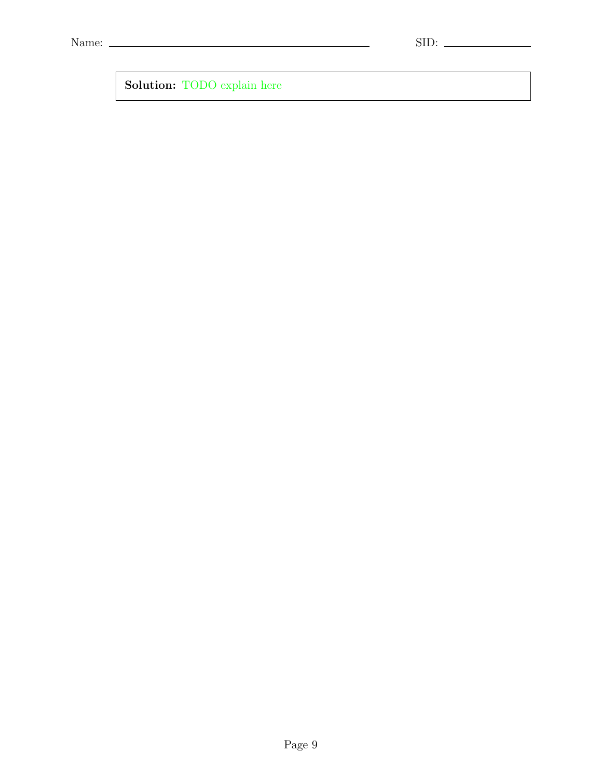<u> 1989 - Johann Barn, mars ann an t-Amhain Aonaich an t-Aonaich an t-Aonaich an t-Aonaich an t-Aonaich an t-Aon</u>

Solution: TODO explain here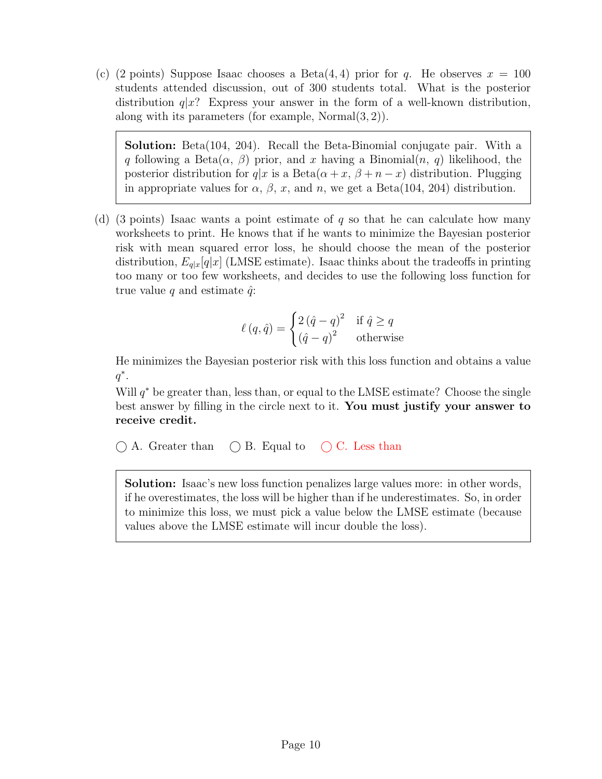(c) (2 points) Suppose Isaac chooses a Beta $(4, 4)$  prior for q. He observes  $x = 100$ students attended discussion, out of 300 students total. What is the posterior distribution  $q|x$ ? Express your answer in the form of a well-known distribution, along with its parameters (for example, Normal $(3, 2)$ ).

Solution: Beta(104, 204). Recall the Beta-Binomial conjugate pair. With a q following a Beta $(\alpha, \beta)$  prior, and x having a Binomial $(n, q)$  likelihood, the posterior distribution for  $q|x$  is a Beta $(\alpha + x, \beta + n - x)$  distribution. Plugging in appropriate values for  $\alpha$ ,  $\beta$ , x, and n, we get a Beta(104, 204) distribution.

(d) (3 points) Isaac wants a point estimate of  $q$  so that he can calculate how many worksheets to print. He knows that if he wants to minimize the Bayesian posterior risk with mean squared error loss, he should choose the mean of the posterior distribution,  $E_{q|x}[q|x]$  (LMSE estimate). Isaac thinks about the tradeoffs in printing too many or too few worksheets, and decides to use the following loss function for true value q and estimate  $\hat{q}$ :

$$
\ell(q, \hat{q}) = \begin{cases} 2(\hat{q} - q)^2 & \text{if } \hat{q} \ge q \\ (\hat{q} - q)^2 & \text{otherwise} \end{cases}
$$

He minimizes the Bayesian posterior risk with this loss function and obtains a value  $q^*$ .

Will  $q^*$  be greater than, less than, or equal to the LMSE estimate? Choose the single best answer by filling in the circle next to it. You must justify your answer to receive credit.

 $\bigcirc$  A. Greater than  $\bigcirc$  B. Equal to  $\bigcirc$  C. Less than

Solution: Isaac's new loss function penalizes large values more: in other words, if he overestimates, the loss will be higher than if he underestimates. So, in order to minimize this loss, we must pick a value below the LMSE estimate (because values above the LMSE estimate will incur double the loss).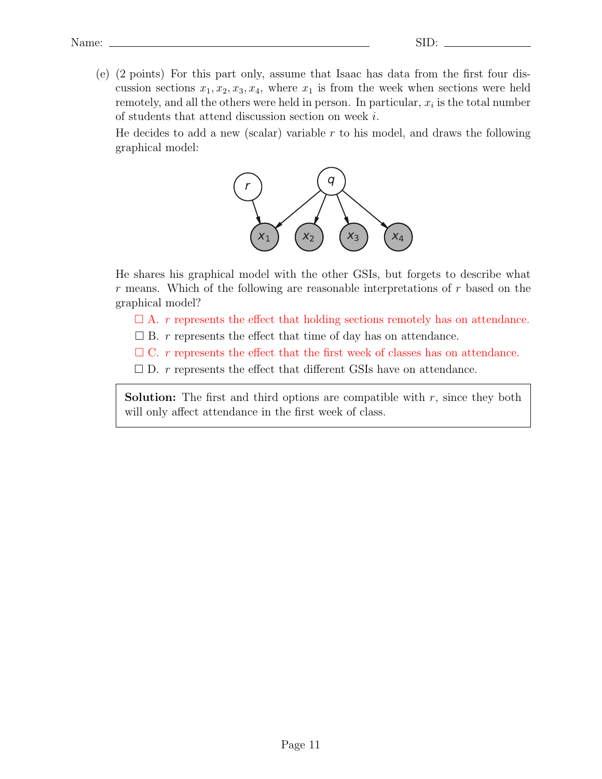(e) (2 points) For this part only, assume that Isaac has data from the first four discussion sections  $x_1, x_2, x_3, x_4$ , where  $x_1$  is from the week when sections were held remotely, and all the others were held in person. In particular,  $x_i$  is the total number of students that attend discussion section on week i.

He decides to add a new (scalar) variable  $r$  to his model, and draws the following graphical model:



He shares his graphical model with the other GSIs, but forgets to describe what r means. Which of the following are reasonable interpretations of r based on the graphical model?

- $\Box$  A. r represents the effect that holding sections remotely has on attendance.
- $\square$  B. r represents the effect that time of day has on attendance.
- $\Box$  C. r represents the effect that the first week of classes has on attendance.
- $\square$  D. r represents the effect that different GSIs have on attendance.

**Solution:** The first and third options are compatible with  $r$ , since they both will only affect attendance in the first week of class.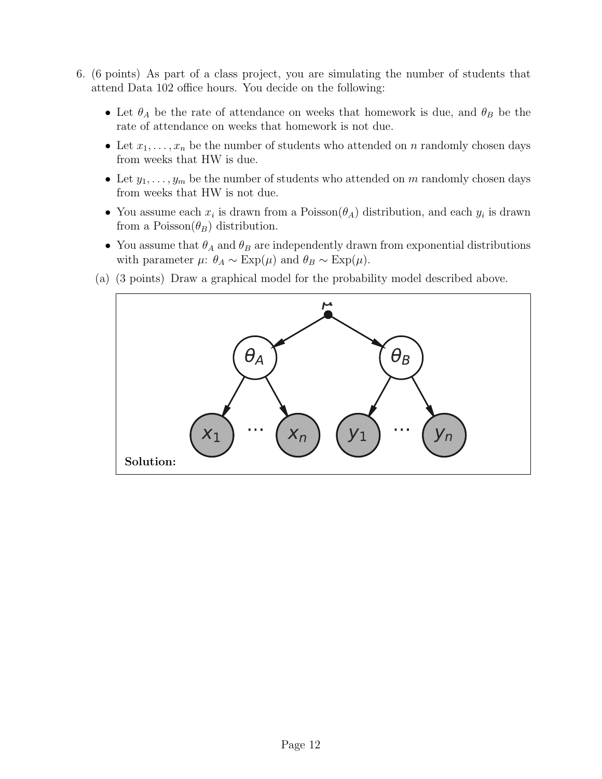- 6. (6 points) As part of a class project, you are simulating the number of students that attend Data 102 office hours. You decide on the following:
	- Let  $\theta_A$  be the rate of attendance on weeks that homework is due, and  $\theta_B$  be the rate of attendance on weeks that homework is not due.
	- Let  $x_1, \ldots, x_n$  be the number of students who attended on n randomly chosen days from weeks that HW is due.
	- Let  $y_1, \ldots, y_m$  be the number of students who attended on m randomly chosen days from weeks that HW is not due.
	- You assume each  $x_i$  is drawn from a Poisson $(\theta_A)$  distribution, and each  $y_i$  is drawn from a Poisson $(\theta_B)$  distribution.
	- You assume that  $\theta_A$  and  $\theta_B$  are independently drawn from exponential distributions with parameter  $\mu$ :  $\theta_A \sim \text{Exp}(\mu)$  and  $\theta_B \sim \text{Exp}(\mu)$ .
	- (a) (3 points) Draw a graphical model for the probability model described above.

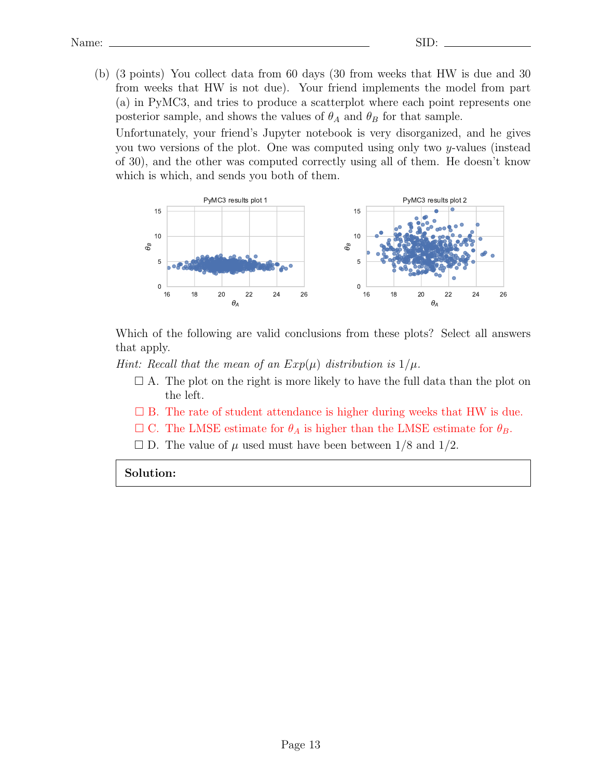(b) (3 points) You collect data from 60 days (30 from weeks that HW is due and 30 from weeks that HW is not due). Your friend implements the model from part (a) in PyMC3, and tries to produce a scatterplot where each point represents one posterior sample, and shows the values of  $\theta_A$  and  $\theta_B$  for that sample.

Unfortunately, your friend's Jupyter notebook is very disorganized, and he gives you two versions of the plot. One was computed using only two y-values (instead of 30), and the other was computed correctly using all of them. He doesn't know which is which, and sends you both of them.



Which of the following are valid conclusions from these plots? Select all answers that apply.

Hint: Recall that the mean of an  $Exp(\mu)$  distribution is  $1/\mu$ .

- $\Box$  A. The plot on the right is more likely to have the full data than the plot on the left.
- $\square$  B. The rate of student attendance is higher during weeks that HW is due.
- $\Box$  C. The LMSE estimate for  $\theta_A$  is higher than the LMSE estimate for  $\theta_B$ .
- $\square$  D. The value of  $\mu$  used must have been between  $1/8$  and  $1/2$ .

Solution: